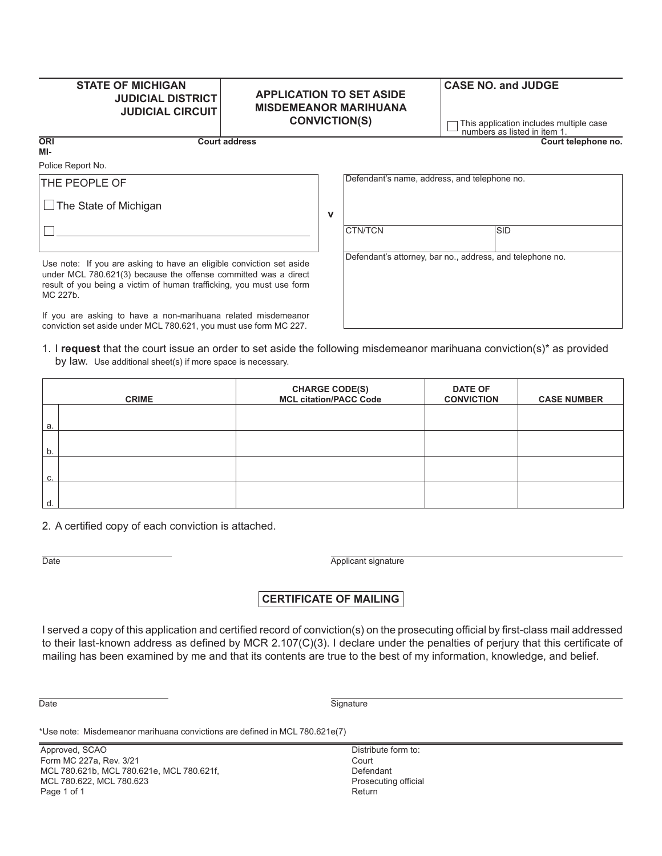## **STATE OF MICHIGAN JUDICIAL DISTRICT JUDICIAL CIRCUIT**

### **APPLICATION TO SET ASIDE MISDEMEANOR MARIHUANA CONVICTION(S)**

**v**

# **CASE NO. and JUDGE**

This application includes multiple case numbers as listed in item 1.

**Court address Court telephone no.**

**ORI MI-**

Police Report No.

THE PEOPLE OF

 $\Box$  The State of Michigan

Defendant's name, address, and telephone no.

Use note: If you are asking to have an eligible conviction set aside under MCL 780.621(3) because the offense committed was a direct result of you being a victim of human trafficking, you must use form MC 227b.

If you are asking to have a non-marihuana related misdemeanor conviction set aside under MCL 780.621, you must use form MC 227.

#### 1. I **request** that the court issue an order to set aside the following misdemeanor marihuana conviction(s)\* as provided by law. Use additional sheet(s) if more space is necessary.

| <b>CRIME</b> |  | <b>CHARGE CODE(S)</b><br>MCL citation/PACC Code | <b>DATE OF</b><br><b>CONVICTION</b> | <b>CASE NUMBER</b> |
|--------------|--|-------------------------------------------------|-------------------------------------|--------------------|
| a.           |  |                                                 |                                     |                    |
| b.           |  |                                                 |                                     |                    |
| C.           |  |                                                 |                                     |                    |
| d.           |  |                                                 |                                     |                    |

2. A certified copy of each conviction is attached.

Date **Applicant signature CONS** 

## **CERTIFICATE OF MAILING**

I served a copy of this application and certified record of conviction(s) on the prosecuting official by first-class mail addressed to their last-known address as defined by MCR 2.107(C)(3). I declare under the penalties of perjury that this certificate of mailing has been examined by me and that its contents are true to the best of my information, knowledge, and belief.

Date Signature Signature

\*Use note: Misdemeanor marihuana convictions are defined in MCL 780.621e(7)

Approved, SCAO Form MC 227a, Rev. 3/21 MCL 780.621b, MCL 780.621e, MCL 780.621f, MCL 780.622, MCL 780.623 Page 1 of 1

Distribute form to: Court Defendant Prosecuting official Return

CTN/TCN SID

Defendant's attorney, bar no., address, and telephone no.